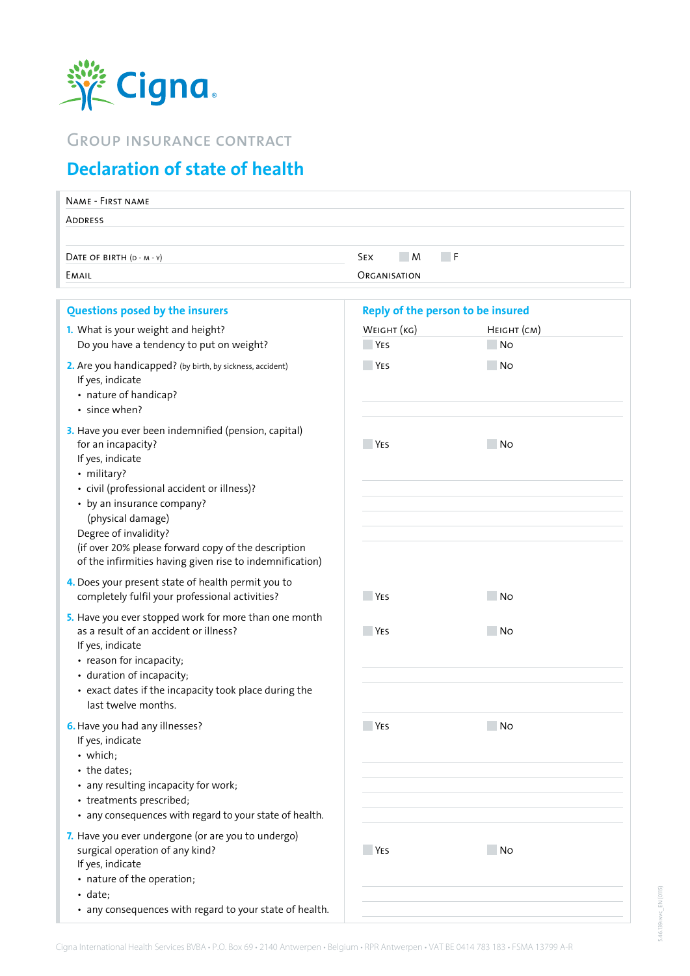

## Group insurance contract

## **Declaration of state of health**

| ADDRESS<br>$\Box$ F<br>M<br><b>SEX</b><br>DATE OF BIRTH (D - M - Y)<br>EMAIL<br>ORGANISATION<br><b>Questions posed by the insurers</b><br>Reply of the person to be insured<br>1. What is your weight and height?<br>WEIGHT (KG)<br>HEIGHT (CM)<br>No.<br>Do you have a tendency to put on weight?<br><b>YES</b><br>2. Are you handicapped? (by birth, by sickness, accident)<br><b>YES</b><br>- No<br>If yes, indicate<br>• nature of handicap?<br>· since when?<br>3. Have you ever been indemnified (pension, capital)<br>for an incapacity?<br><b>YES</b><br>No.<br>If yes, indicate<br>• military?<br>• civil (professional accident or illness)?<br>• by an insurance company?<br>(physical damage)<br>Degree of invalidity?<br>(if over 20% please forward copy of the description<br>of the infirmities having given rise to indemnification)<br>4. Does your present state of health permit you to<br>completely fulfil your professional activities?<br><b>YES</b><br>No.<br>5. Have you ever stopped work for more than one month<br>as a result of an accident or illness?<br><b>YES</b><br>- No<br>If yes, indicate<br>• reason for incapacity;<br>• duration of incapacity;<br>• exact dates if the incapacity took place during the<br>last twelve months.<br>6. Have you had any illnesses?<br><b>YES</b><br>No.<br>If yes, indicate<br>• which;<br>• the dates;<br>• any resulting incapacity for work;<br>• treatments prescribed;<br>• any consequences with regard to your state of health.<br>7. Have you ever undergone (or are you to undergo)<br>surgical operation of any kind?<br><b>YES</b><br>No.<br>If yes, indicate<br>• nature of the operation;<br>$\cdot$ date;<br>• any consequences with regard to your state of health. | NAME - FIRST NAME |  |  |  |  |
|-------------------------------------------------------------------------------------------------------------------------------------------------------------------------------------------------------------------------------------------------------------------------------------------------------------------------------------------------------------------------------------------------------------------------------------------------------------------------------------------------------------------------------------------------------------------------------------------------------------------------------------------------------------------------------------------------------------------------------------------------------------------------------------------------------------------------------------------------------------------------------------------------------------------------------------------------------------------------------------------------------------------------------------------------------------------------------------------------------------------------------------------------------------------------------------------------------------------------------------------------------------------------------------------------------------------------------------------------------------------------------------------------------------------------------------------------------------------------------------------------------------------------------------------------------------------------------------------------------------------------------------------------------------------------------------------------------------------------------------------------------------|-------------------|--|--|--|--|
|                                                                                                                                                                                                                                                                                                                                                                                                                                                                                                                                                                                                                                                                                                                                                                                                                                                                                                                                                                                                                                                                                                                                                                                                                                                                                                                                                                                                                                                                                                                                                                                                                                                                                                                                                             |                   |  |  |  |  |
|                                                                                                                                                                                                                                                                                                                                                                                                                                                                                                                                                                                                                                                                                                                                                                                                                                                                                                                                                                                                                                                                                                                                                                                                                                                                                                                                                                                                                                                                                                                                                                                                                                                                                                                                                             |                   |  |  |  |  |
|                                                                                                                                                                                                                                                                                                                                                                                                                                                                                                                                                                                                                                                                                                                                                                                                                                                                                                                                                                                                                                                                                                                                                                                                                                                                                                                                                                                                                                                                                                                                                                                                                                                                                                                                                             |                   |  |  |  |  |
|                                                                                                                                                                                                                                                                                                                                                                                                                                                                                                                                                                                                                                                                                                                                                                                                                                                                                                                                                                                                                                                                                                                                                                                                                                                                                                                                                                                                                                                                                                                                                                                                                                                                                                                                                             |                   |  |  |  |  |
|                                                                                                                                                                                                                                                                                                                                                                                                                                                                                                                                                                                                                                                                                                                                                                                                                                                                                                                                                                                                                                                                                                                                                                                                                                                                                                                                                                                                                                                                                                                                                                                                                                                                                                                                                             |                   |  |  |  |  |
|                                                                                                                                                                                                                                                                                                                                                                                                                                                                                                                                                                                                                                                                                                                                                                                                                                                                                                                                                                                                                                                                                                                                                                                                                                                                                                                                                                                                                                                                                                                                                                                                                                                                                                                                                             |                   |  |  |  |  |
|                                                                                                                                                                                                                                                                                                                                                                                                                                                                                                                                                                                                                                                                                                                                                                                                                                                                                                                                                                                                                                                                                                                                                                                                                                                                                                                                                                                                                                                                                                                                                                                                                                                                                                                                                             |                   |  |  |  |  |
|                                                                                                                                                                                                                                                                                                                                                                                                                                                                                                                                                                                                                                                                                                                                                                                                                                                                                                                                                                                                                                                                                                                                                                                                                                                                                                                                                                                                                                                                                                                                                                                                                                                                                                                                                             |                   |  |  |  |  |
|                                                                                                                                                                                                                                                                                                                                                                                                                                                                                                                                                                                                                                                                                                                                                                                                                                                                                                                                                                                                                                                                                                                                                                                                                                                                                                                                                                                                                                                                                                                                                                                                                                                                                                                                                             |                   |  |  |  |  |
|                                                                                                                                                                                                                                                                                                                                                                                                                                                                                                                                                                                                                                                                                                                                                                                                                                                                                                                                                                                                                                                                                                                                                                                                                                                                                                                                                                                                                                                                                                                                                                                                                                                                                                                                                             |                   |  |  |  |  |
|                                                                                                                                                                                                                                                                                                                                                                                                                                                                                                                                                                                                                                                                                                                                                                                                                                                                                                                                                                                                                                                                                                                                                                                                                                                                                                                                                                                                                                                                                                                                                                                                                                                                                                                                                             |                   |  |  |  |  |
|                                                                                                                                                                                                                                                                                                                                                                                                                                                                                                                                                                                                                                                                                                                                                                                                                                                                                                                                                                                                                                                                                                                                                                                                                                                                                                                                                                                                                                                                                                                                                                                                                                                                                                                                                             |                   |  |  |  |  |
|                                                                                                                                                                                                                                                                                                                                                                                                                                                                                                                                                                                                                                                                                                                                                                                                                                                                                                                                                                                                                                                                                                                                                                                                                                                                                                                                                                                                                                                                                                                                                                                                                                                                                                                                                             |                   |  |  |  |  |
|                                                                                                                                                                                                                                                                                                                                                                                                                                                                                                                                                                                                                                                                                                                                                                                                                                                                                                                                                                                                                                                                                                                                                                                                                                                                                                                                                                                                                                                                                                                                                                                                                                                                                                                                                             |                   |  |  |  |  |
|                                                                                                                                                                                                                                                                                                                                                                                                                                                                                                                                                                                                                                                                                                                                                                                                                                                                                                                                                                                                                                                                                                                                                                                                                                                                                                                                                                                                                                                                                                                                                                                                                                                                                                                                                             |                   |  |  |  |  |